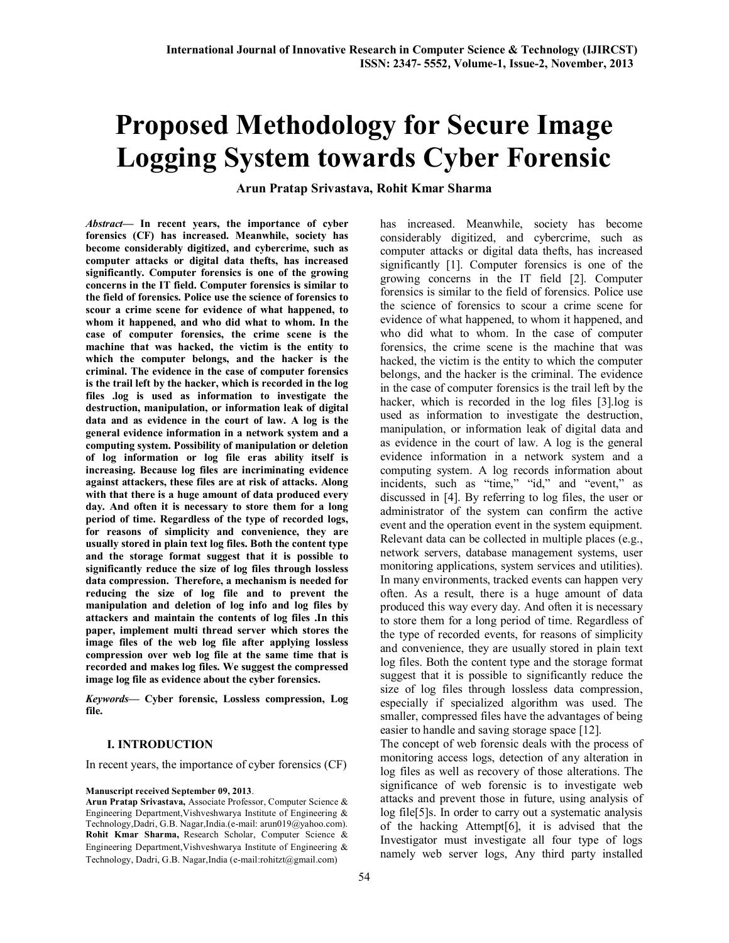# **Proposed Methodology for Secure Image Logging System towards Cyber Forensic**

**Arun Pratap Srivastava, Rohit Kmar Sharma**

*Abstract***— In recent years, the importance of cyber forensics (CF) has increased. Meanwhile, society has become considerably digitized, and cybercrime, such as computer attacks or digital data thefts, has increased significantly. Computer forensics is one of the growing concerns in the IT field. Computer forensics is similar to the field of forensics. Police use the science of forensics to scour a crime scene for evidence of what happened, to whom it happened, and who did what to whom. In the case of computer forensics, the crime scene is the machine that was hacked, the victim is the entity to which the computer belongs, and the hacker is the criminal. The evidence in the case of computer forensics is the trail left by the hacker, which is recorded in the log files .log is used as information to investigate the destruction, manipulation, or information leak of digital data and as evidence in the court of law. A log is the general evidence information in a network system and a computing system. Possibility of manipulation or deletion of log information or log file eras ability itself is increasing. Because log files are incriminating evidence against attackers, these files are at risk of attacks. Along with that there is a huge amount of data produced every day. And often it is necessary to store them for a long period of time. Regardless of the type of recorded logs, for reasons of simplicity and convenience, they are usually stored in plain text log files. Both the content type and the storage format suggest that it is possible to significantly reduce the size of log files through lossless data compression. Therefore, a mechanism is needed for reducing the size of log file and to prevent the manipulation and deletion of log info and log files by attackers and maintain the contents of log files .In this paper, implement multi thread server which stores the image files of the web log file after applying lossless compression over web log file at the same time that is recorded and makes log files. We suggest the compressed image log file as evidence about the cyber forensics.**

*Keywords***— Cyber forensic, Lossless compression, Log file.**

#### **I. INTRODUCTION**

In recent years, the importance of cyber forensics (CF)

#### **Manuscript received September 09, 2013**.

**Arun Pratap Srivastava,** Associate Professor, Computer Science & Engineering Department,Vishveshwarya Institute of Engineering & Technology,Dadri, G.B. Nagar,India.(e-mail: arun019@yahoo.com). **Rohit Kmar Sharma,** Research Scholar, Computer Science & Engineering Department,Vishveshwarya Institute of Engineering & Technology, Dadri, G.B. Nagar,India (e-mail:rohitzt@gmail.com)

has increased. Meanwhile, society has become considerably digitized, and cybercrime, such as computer attacks or digital data thefts, has increased significantly [1]. Computer forensics is one of the growing concerns in the IT field [2]. Computer forensics is similar to the field of forensics. Police use the science of forensics to scour a crime scene for evidence of what happened, to whom it happened, and who did what to whom. In the case of computer forensics, the crime scene is the machine that was hacked, the victim is the entity to which the computer belongs, and the hacker is the criminal. The evidence in the case of computer forensics is the trail left by the hacker, which is recorded in the log files [3].log is used as information to investigate the destruction, manipulation, or information leak of digital data and as evidence in the court of law. A log is the general evidence information in a network system and a computing system. A log records information about incidents, such as "time," "id," and "event," as discussed in [4]. By referring to log files, the user or administrator of the system can confirm the active event and the operation event in the system equipment. Relevant data can be collected in multiple places (e.g., network servers, database management systems, user monitoring applications, system services and utilities). In many environments, tracked events can happen very often. As a result, there is a huge amount of data produced this way every day. And often it is necessary to store them for a long period of time. Regardless of the type of recorded events, for reasons of simplicity and convenience, they are usually stored in plain text log files. Both the content type and the storage format suggest that it is possible to significantly reduce the size of log files through lossless data compression, especially if specialized algorithm was used. The smaller, compressed files have the advantages of being easier to handle and saving storage space [12].

The concept of web forensic deals with the process of monitoring access logs, detection of any alteration in log files as well as recovery of those alterations. The significance of web forensic is to investigate web attacks and prevent those in future, using analysis of log file[5]s. In order to carry out a systematic analysis of the hacking Attempt[6], it is advised that the Investigator must investigate all four type of logs namely web server logs, Any third party installed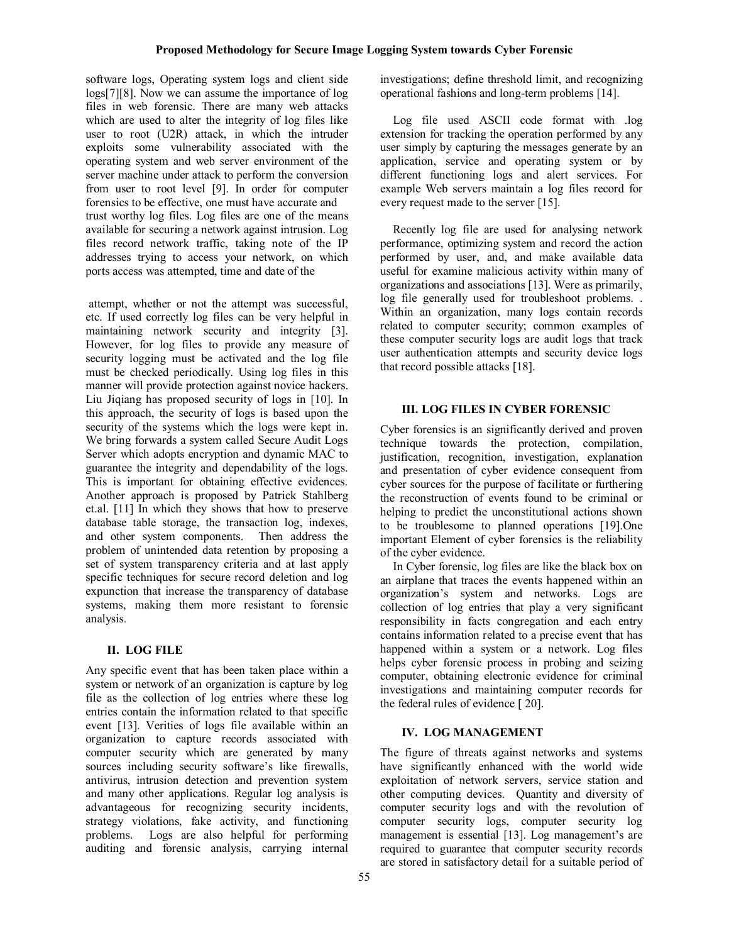software logs, Operating system logs and client side logs[7][8]. Now we can assume the importance of log files in web forensic. There are many web attacks which are used to alter the integrity of log files like user to root (U2R) attack, in which the intruder exploits some vulnerability associated with the operating system and web server environment of the server machine under attack to perform the conversion from user to root level [9]. In order for computer forensics to be effective, one must have accurate and trust worthy log files. Log files are one of the means available for securing a network against intrusion. Log files record network traffic, taking note of the IP addresses trying to access your network, on which ports access was attempted, time and date of the

attempt, whether or not the attempt was successful, etc. If used correctly log files can be very helpful in maintaining network security and integrity [3]. However, for log files to provide any measure of security logging must be activated and the log file must be checked periodically. Using log files in this manner will provide protection against novice hackers. Liu Jiqiang has proposed security of logs in [10]. In this approach, the security of logs is based upon the security of the systems which the logs were kept in. We bring forwards a system called Secure Audit Logs Server which adopts encryption and dynamic MAC to guarantee the integrity and dependability of the logs. This is important for obtaining effective evidences. Another approach is proposed by Patrick Stahlberg et.al. [11] In which they shows that how to preserve database table storage, the transaction log, indexes, and other system components. Then address the problem of unintended data retention by proposing a set of system transparency criteria and at last apply specific techniques for secure record deletion and log expunction that increase the transparency of database systems, making them more resistant to forensic analysis.

## **II. LOG FILE**

Any specific event that has been taken place within a system or network of an organization is capture by log file as the collection of log entries where these log entries contain the information related to that specific event [13]. Verities of logs file available within an organization to capture records associated with computer security which are generated by many sources including security software's like firewalls, antivirus, intrusion detection and prevention system and many other applications. Regular log analysis is advantageous for recognizing security incidents, strategy violations, fake activity, and functioning problems. Logs are also helpful for performing auditing and forensic analysis, carrying internal investigations; define threshold limit, and recognizing operational fashions and long-term problems [14].

Log file used ASCII code format with .log extension for tracking the operation performed by any user simply by capturing the messages generate by an application, service and operating system or by different functioning logs and alert services. For example Web servers maintain a log files record for every request made to the server [15].

Recently log file are used for analysing network performance, optimizing system and record the action performed by user, and, and make available data useful for examine malicious activity within many of organizations and associations [13]. Were as primarily, log file generally used for troubleshoot problems. . Within an organization, many logs contain records related to computer security; common examples of these computer security logs are audit logs that track user authentication attempts and security device logs that record possible attacks [18].

## **III. LOG FILES IN CYBER FORENSIC**

Cyber forensics is an significantly derived and proven technique towards the protection, compilation, justification, recognition, investigation, explanation and presentation of cyber evidence consequent from cyber sources for the purpose of facilitate or furthering the reconstruction of events found to be criminal or helping to predict the unconstitutional actions shown to be troublesome to planned operations [19].One important Element of cyber forensics is the reliability of the cyber evidence.

In Cyber forensic, log files are like the black box on an airplane that traces the events happened within an organization's system and networks. Logs are collection of log entries that play a very significant responsibility in facts congregation and each entry contains information related to a precise event that has happened within a system or a network. Log files helps cyber forensic process in probing and seizing computer, obtaining electronic evidence for criminal investigations and maintaining computer records for the federal rules of evidence [ 20].

# **IV. LOG MANAGEMENT**

The figure of threats against networks and systems have significantly enhanced with the world wide exploitation of network servers, service station and other computing devices. Quantity and diversity of computer security logs and with the revolution of computer security logs, computer security log management is essential [13]. Log management's are required to guarantee that computer security records are stored in satisfactory detail for a suitable period of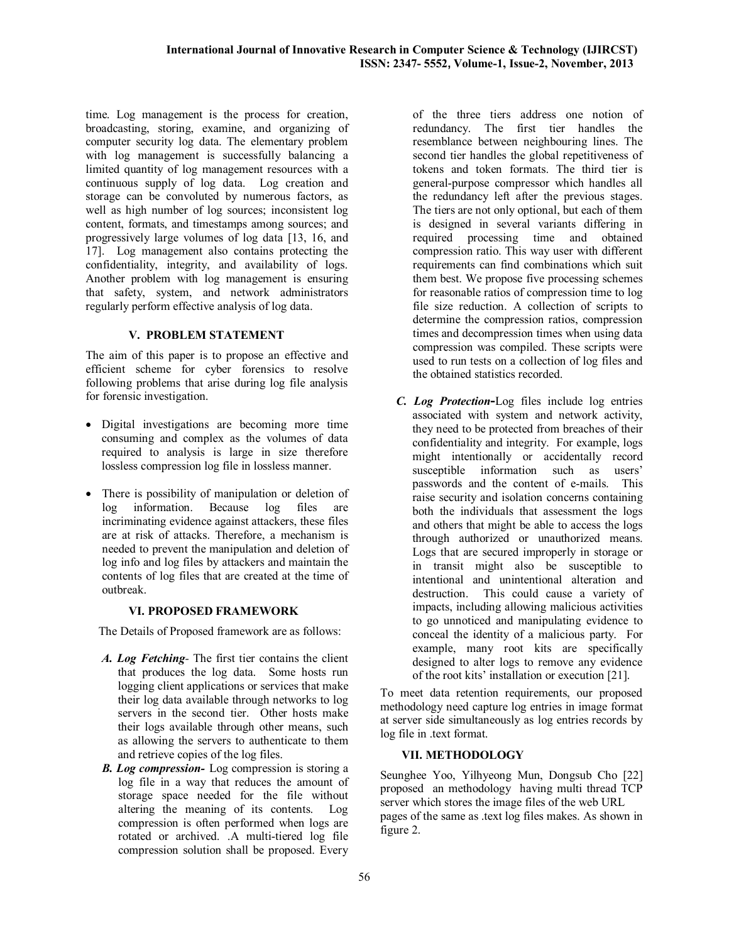time. Log management is the process for creation, broadcasting, storing, examine, and organizing of computer security log data. The elementary problem with log management is successfully balancing a limited quantity of log management resources with a continuous supply of log data. Log creation and storage can be convoluted by numerous factors, as well as high number of log sources; inconsistent log content, formats, and timestamps among sources; and progressively large volumes of log data [13, 16, and 17]. Log management also contains protecting the confidentiality, integrity, and availability of logs. Another problem with log management is ensuring that safety, system, and network administrators regularly perform effective analysis of log data.

#### **V. PROBLEM STATEMENT**

The aim of this paper is to propose an effective and efficient scheme for cyber forensics to resolve following problems that arise during log file analysis for forensic investigation.

- Digital investigations are becoming more time consuming and complex as the volumes of data required to analysis is large in size therefore lossless compression log file in lossless manner.
- There is possibility of manipulation or deletion of log information. Because log files are incriminating evidence against attackers, these files are at risk of attacks. Therefore, a mechanism is needed to prevent the manipulation and deletion of log info and log files by attackers and maintain the contents of log files that are created at the time of outbreak.

#### **VI. PROPOSED FRAMEWORK**

The Details of Proposed framework are as follows:

- *A. Log Fetching-* The first tier contains the client that produces the log data. Some hosts run logging client applications or services that make their log data available through networks to log servers in the second tier. Other hosts make their logs available through other means, such as allowing the servers to authenticate to them and retrieve copies of the log files.
- *B. Log compression-* Log compression is storing a log file in a way that reduces the amount of storage space needed for the file without altering the meaning of its contents. Log compression is often performed when logs are rotated or archived. .A multi-tiered log file compression solution shall be proposed. Every

of the three tiers address one notion of redundancy. The first tier handles the resemblance between neighbouring lines. The second tier handles the global repetitiveness of tokens and token formats. The third tier is general-purpose compressor which handles all the redundancy left after the previous stages. The tiers are not only optional, but each of them is designed in several variants differing in required processing time and obtained compression ratio. This way user with different requirements can find combinations which suit them best. We propose five processing schemes for reasonable ratios of compression time to log file size reduction. A collection of scripts to determine the compression ratios, compression times and decompression times when using data compression was compiled. These scripts were used to run tests on a collection of log files and the obtained statistics recorded.

*C. Log Protection***-**Log files include log entries associated with system and network activity, they need to be protected from breaches of their confidentiality and integrity. For example, logs might intentionally or accidentally record susceptible information such as users' passwords and the content of e-mails. This raise security and isolation concerns containing both the individuals that assessment the logs and others that might be able to access the logs through authorized or unauthorized means. Logs that are secured improperly in storage or in transit might also be susceptible to intentional and unintentional alteration and destruction. This could cause a variety of impacts, including allowing malicious activities to go unnoticed and manipulating evidence to conceal the identity of a malicious party. For example, many root kits are specifically designed to alter logs to remove any evidence of the root kits' installation or execution [21].

To meet data retention requirements, our proposed methodology need capture log entries in image format at server side simultaneously as log entries records by log file in .text format.

### **VII. METHODOLOGY**

Seunghee Yoo, Yilhyeong Mun, Dongsub Cho [22] proposed an methodology having multi thread TCP server which stores the image files of the web URL pages of the same as .text log files makes. As shown in figure 2.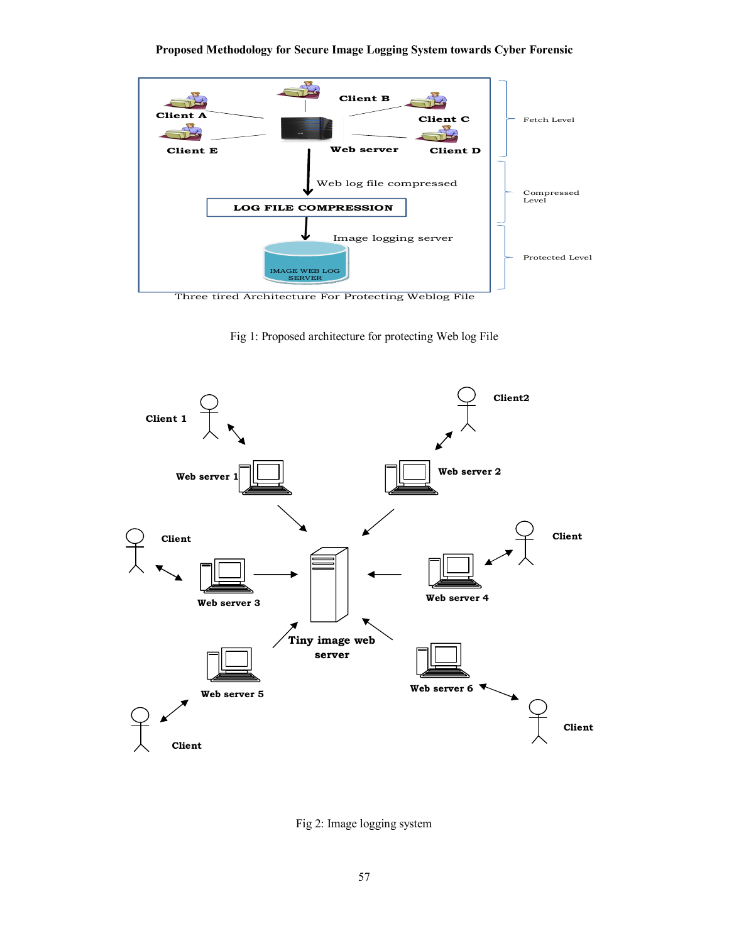## **Proposed Methodology for Secure Image Logging System towards Cyber Forensic**



Fig 1: Proposed architecture for protecting Web log File



Fig 2: Image logging system